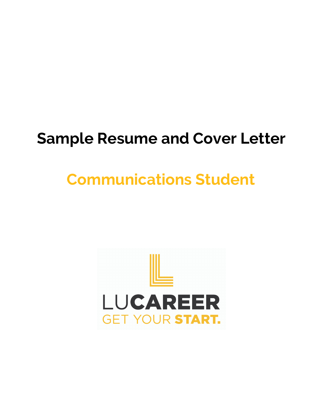# **Sample Resume and Cover Letter**

# **Communications Student**

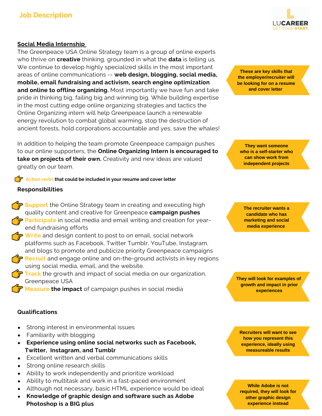# **Job Description**

## **Social Media Internship**

The Greenpeace USA Online Strategy team is a group of online experts who thrive on **creative** thinking, grounded in what the **data** is telling us. We continue to develop highly specialized skills in the most important areas of online communications -- **web design, blogging, social media, mobile, email fundraising and activism, search engine optimization and online to offline organizing.** Most importantly we have fun and take pride in thinking big, failing big and winning big. While building expertise in the most cutting edge online organizing strategies and tactics the Online Organizing intern will help Greenpeace launch a renewable energy revolution to combat global warming, stop the destruction of ancient forests, hold corporations accountable and yes, save the whales!

In addition to helping the team promote Greenpeace campaign pushes to our online supporters, the **Online Organizing Intern is encouraged to take on projects of their own.** Creativity and new ideas are valued greatly on our team.

#### **Action verbs that could be included in your resume and cover letter**

#### **Responsibilities**

- **Support** the Online Strategy team in creating and executing high quality content and creative for Greenpeace **campaign pushes Participate** in social media and email writing and creation for yearend fundraising efforts
- **Write** and design content to post to on email, social network platforms such as Facebook, Twitter Tumblr, YouTube, Instagram, and blogs to promote and publicize priority Greenpeace campaigns
- **Recruit** and engage online and on-the-ground activists in key regions using social media, email, and the website.
	- **Track** the growth and impact of social media on our organization, Greenpeace USA
	- **Measure the impact** of campaign pushes in social media

## **Qualifications**

- Strong interest in environmental issues
- Familiarity with blogging
- **Experience using online social networks such as Facebook, Twitter, Instagram, and Tumblr**
- Excellent written and verbal communications skills
- Strong online research skills
- Ability to work independently and prioritize workload
- Ability to multitask and work in a fast-paced environment
- Although not necessary, basic HTML experience would be ideal
- **Knowledge of graphic design and software such as Adobe Photoshop is a BIG plus**



**These are key skills that the employer/recruiter will be looking for on a resume and cover letter**

**They want someone who is a self-starter who can show work from independent projects**

**The recruiter wants a candidate who has marketing and social media experience**

**They will look for examples of growth and impact in prior experiences**

**Recruiters will want to see how you represent this experience, ideally using measureable results**

**While Adobe is not required, they will look for other graphic design experience instead**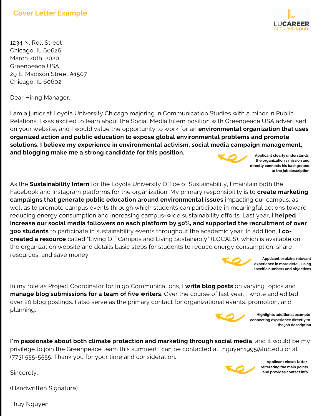

1234 N. Roll Street Chicago, IL 60626 March 20th, 2020 Greenpeace USA 29 E. Madison Street #1507 Chicago, IL 60602

Dear Hiring Manager,

I am a junior at Loyola University Chicago majoring in Communication Studies with a minor in Public Relations. I was excited to learn about the Social Media Intern position with Greenpeace USA advertised on your website, and I would value the opportunity to work for an **environmental organization that uses organized action and public education to expose global environmental problems and promote solutions. I believe my experience in environmental activism, social media campaign management, and blogging make me a strong candidate for this position. Applicant clearly understands**

As the **Sustainability Intern** for the Loyola University Office of Sustainability, I maintain both the Facebook and Instagram platforms for the organization. My primary responsibility is to **create marketing campaigns that generate public education around environmental issues** impacting our campus, as well as to promote campus events through which students can participate in meaningful actions toward reducing energy consumption and increasing campus-wide sustainability efforts. Last year, I **helped increase our social media followers on each platform by 50%, and supported the recruitment of over 300 students** to participate in sustainability events throughout the academic year. In addition, **I cocreated a resource** called "Living Off Campus and Living Sustainably" (LOCALS), which is available on the organization website and details basic steps for students to reduce energy consumption, share resources, and save money. **Applicant explains relevant**

In my role as Project Coordinator for Inigo Communications, I **write blog posts** on varying topics and **manage blog submissions for a team of five writers**. Over the course of last year, I wrote and edited over 20 blog postings. I also serve as the primary contact for organizational events, promotion, and planning.



**Highlights additional example connecting experience directly to the job description**

**experience in more detail, using specific numbers and objectives**

**I'm passionate about both climate protection and marketing through social media**, and it would be my privilege to join the Greenpeace team this summer! I can be contacted at tnguyen1995@luc.edu or at (773) 555-5555. Thank you for your time and consideration.

Sincerely,



**Applicant closes letter reiterating the main points and provides contact info**

(Handwritten Signature)

Thuy Nguyen